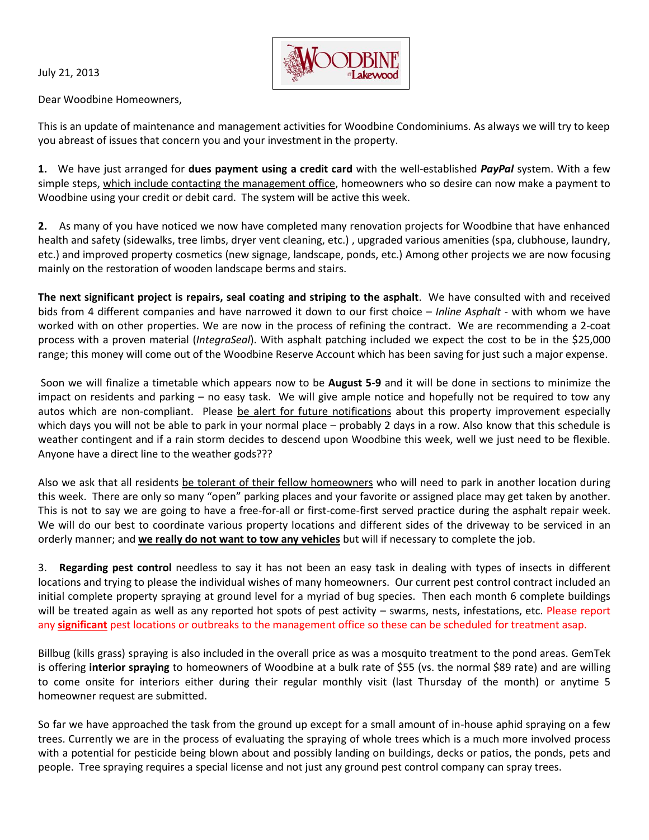July 21, 2013



Dear Woodbine Homeowners,

This is an update of maintenance and management activities for Woodbine Condominiums. As always we will try to keep you abreast of issues that concern you and your investment in the property.

**1.** We have just arranged for **dues payment using a credit card** with the well-established *PayPal* system. With a few simple steps, which include contacting the management office, homeowners who so desire can now make a payment to Woodbine using your credit or debit card. The system will be active this week.

**2.** As many of you have noticed we now have completed many renovation projects for Woodbine that have enhanced health and safety (sidewalks, tree limbs, dryer vent cleaning, etc.) , upgraded various amenities (spa, clubhouse, laundry, etc.) and improved property cosmetics (new signage, landscape, ponds, etc.) Among other projects we are now focusing mainly on the restoration of wooden landscape berms and stairs.

**The next significant project is repairs, seal coating and striping to the asphalt**. We have consulted with and received bids from 4 different companies and have narrowed it down to our first choice – *Inline Asphalt -* with whom we have worked with on other properties. We are now in the process of refining the contract. We are recommending a 2-coat process with a proven material (*IntegraSeal*). With asphalt patching included we expect the cost to be in the \$25,000 range; this money will come out of the Woodbine Reserve Account which has been saving for just such a major expense.

Soon we will finalize a timetable which appears now to be **August 5-9** and it will be done in sections to minimize the impact on residents and parking – no easy task. We will give ample notice and hopefully not be required to tow any autos which are non-compliant. Please be alert for future notifications about this property improvement especially which days you will not be able to park in your normal place – probably 2 days in a row. Also know that this schedule is weather contingent and if a rain storm decides to descend upon Woodbine this week, well we just need to be flexible. Anyone have a direct line to the weather gods???

Also we ask that all residents be tolerant of their fellow homeowners who will need to park in another location during this week. There are only so many "open" parking places and your favorite or assigned place may get taken by another. This is not to say we are going to have a free-for-all or first-come-first served practice during the asphalt repair week. We will do our best to coordinate various property locations and different sides of the driveway to be serviced in an orderly manner; and **we really do not want to tow any vehicles** but will if necessary to complete the job.

3. **Regarding pest control** needless to say it has not been an easy task in dealing with types of insects in different locations and trying to please the individual wishes of many homeowners. Our current pest control contract included an initial complete property spraying at ground level for a myriad of bug species. Then each month 6 complete buildings will be treated again as well as any reported hot spots of pest activity – swarms, nests, infestations, etc. Please report any **significant** pest locations or outbreaks to the management office so these can be scheduled for treatment asap.

Billbug (kills grass) spraying is also included in the overall price as was a mosquito treatment to the pond areas. GemTek is offering **interior spraying** to homeowners of Woodbine at a bulk rate of \$55 (vs. the normal \$89 rate) and are willing to come onsite for interiors either during their regular monthly visit (last Thursday of the month) or anytime 5 homeowner request are submitted.

So far we have approached the task from the ground up except for a small amount of in-house aphid spraying on a few trees. Currently we are in the process of evaluating the spraying of whole trees which is a much more involved process with a potential for pesticide being blown about and possibly landing on buildings, decks or patios, the ponds, pets and people. Tree spraying requires a special license and not just any ground pest control company can spray trees.